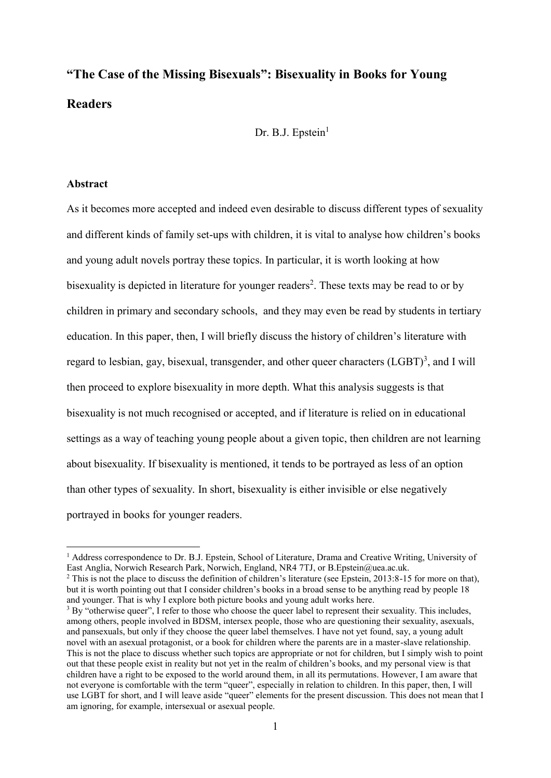# **"The Case of the Missing Bisexuals": Bisexuality in Books for Young Readers**

Dr. B.J. Epstein<sup>1</sup>

# **Abstract**

<u>.</u>

As it becomes more accepted and indeed even desirable to discuss different types of sexuality and different kinds of family set-ups with children, it is vital to analyse how children's books and young adult novels portray these topics. In particular, it is worth looking at how bisexuality is depicted in literature for younger readers<sup>2</sup>. These texts may be read to or by children in primary and secondary schools, and they may even be read by students in tertiary education. In this paper, then, I will briefly discuss the history of children's literature with regard to lesbian, gay, bisexual, transgender, and other queer characters  $(LGBT)^3$ , and I will then proceed to explore bisexuality in more depth. What this analysis suggests is that bisexuality is not much recognised or accepted, and if literature is relied on in educational settings as a way of teaching young people about a given topic, then children are not learning about bisexuality. If bisexuality is mentioned, it tends to be portrayed as less of an option than other types of sexuality. In short, bisexuality is either invisible or else negatively portrayed in books for younger readers.

<sup>1</sup> Address correspondence to Dr. B.J. Epstein, School of Literature, Drama and Creative Writing, University of East Anglia, Norwich Research Park, Norwich, England, NR4 7TJ, or B.Epstein@uea.ac.uk. <sup>2</sup> This is not the place to discuss the definition of children's literature (see Epstein, 2013:8-15 for more on that), but it is worth pointing out that I consider children's books in a broad sense to be anything read by people 18 and younger. That is why I explore both picture books and young adult works here.

<sup>&</sup>lt;sup>3</sup> By "otherwise queer", I refer to those who choose the queer label to represent their sexuality. This includes, among others, people involved in BDSM, intersex people, those who are questioning their sexuality, asexuals, and pansexuals, but only if they choose the queer label themselves. I have not yet found, say, a young adult novel with an asexual protagonist, or a book for children where the parents are in a master-slave relationship. This is not the place to discuss whether such topics are appropriate or not for children, but I simply wish to point out that these people exist in reality but not yet in the realm of children's books, and my personal view is that children have a right to be exposed to the world around them, in all its permutations. However, I am aware that not everyone is comfortable with the term "queer", especially in relation to children. In this paper, then, I will use LGBT for short, and I will leave aside "queer" elements for the present discussion. This does not mean that I am ignoring, for example, intersexual or asexual people.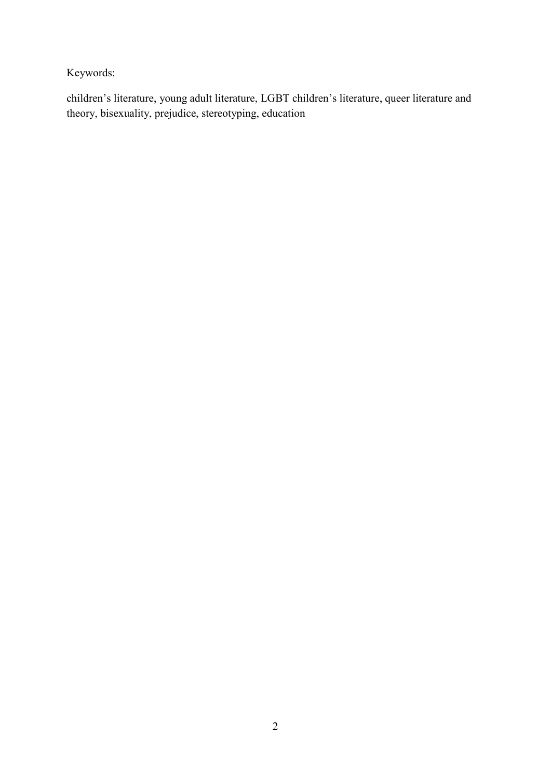Keywords:

children's literature, young adult literature, LGBT children's literature, queer literature and theory, bisexuality, prejudice, stereotyping, education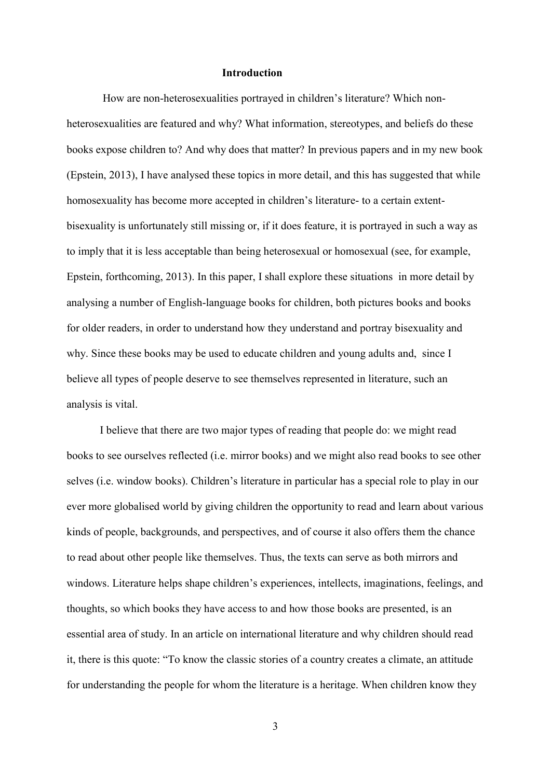## **Introduction**

 How are non-heterosexualities portrayed in children's literature? Which nonheterosexualities are featured and why? What information, stereotypes, and beliefs do these books expose children to? And why does that matter? In previous papers and in my new book (Epstein, 2013), I have analysed these topics in more detail, and this has suggested that while homosexuality has become more accepted in children's literature- to a certain extentbisexuality is unfortunately still missing or, if it does feature, it is portrayed in such a way as to imply that it is less acceptable than being heterosexual or homosexual (see, for example, Epstein, forthcoming, 2013). In this paper, I shall explore these situations in more detail by analysing a number of English-language books for children, both pictures books and books for older readers, in order to understand how they understand and portray bisexuality and why. Since these books may be used to educate children and young adults and, since I believe all types of people deserve to see themselves represented in literature, such an analysis is vital.

I believe that there are two major types of reading that people do: we might read books to see ourselves reflected (i.e. mirror books) and we might also read books to see other selves (i.e. window books). Children's literature in particular has a special role to play in our ever more globalised world by giving children the opportunity to read and learn about various kinds of people, backgrounds, and perspectives, and of course it also offers them the chance to read about other people like themselves. Thus, the texts can serve as both mirrors and windows. Literature helps shape children's experiences, intellects, imaginations, feelings, and thoughts, so which books they have access to and how those books are presented, is an essential area of study. In an article on international literature and why children should read it, there is this quote: "To know the classic stories of a country creates a climate, an attitude for understanding the people for whom the literature is a heritage. When children know they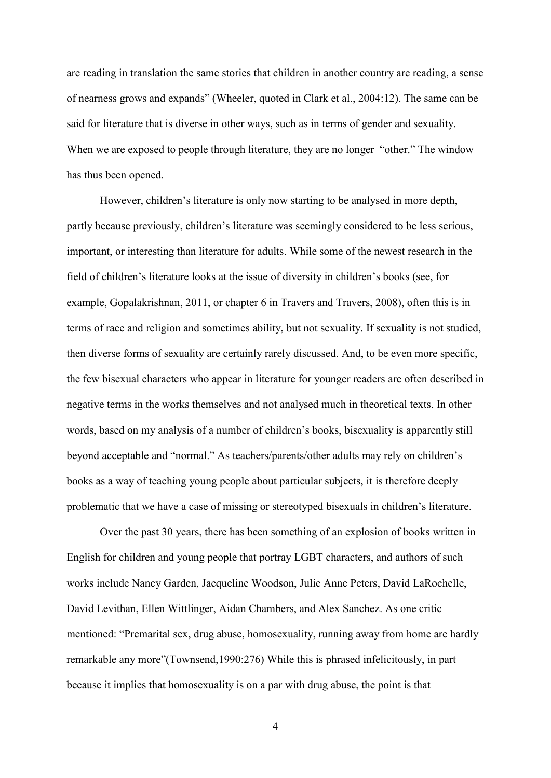are reading in translation the same stories that children in another country are reading, a sense of nearness grows and expands" (Wheeler, quoted in Clark et al., 2004:12). The same can be said for literature that is diverse in other ways, such as in terms of gender and sexuality. When we are exposed to people through literature, they are no longer "other." The window has thus been opened.

However, children's literature is only now starting to be analysed in more depth, partly because previously, children's literature was seemingly considered to be less serious, important, or interesting than literature for adults. While some of the newest research in the field of children's literature looks at the issue of diversity in children's books (see, for example, Gopalakrishnan, 2011, or chapter 6 in Travers and Travers, 2008), often this is in terms of race and religion and sometimes ability, but not sexuality. If sexuality is not studied, then diverse forms of sexuality are certainly rarely discussed. And, to be even more specific, the few bisexual characters who appear in literature for younger readers are often described in negative terms in the works themselves and not analysed much in theoretical texts. In other words, based on my analysis of a number of children's books, bisexuality is apparently still beyond acceptable and "normal." As teachers/parents/other adults may rely on children's books as a way of teaching young people about particular subjects, it is therefore deeply problematic that we have a case of missing or stereotyped bisexuals in children's literature.

Over the past 30 years, there has been something of an explosion of books written in English for children and young people that portray LGBT characters, and authors of such works include Nancy Garden, Jacqueline Woodson, Julie Anne Peters, David LaRochelle, David Levithan, Ellen Wittlinger, Aidan Chambers, and Alex Sanchez. As one critic mentioned: "Premarital sex, drug abuse, homosexuality, running away from home are hardly remarkable any more"(Townsend,1990:276) While this is phrased infelicitously, in part because it implies that homosexuality is on a par with drug abuse, the point is that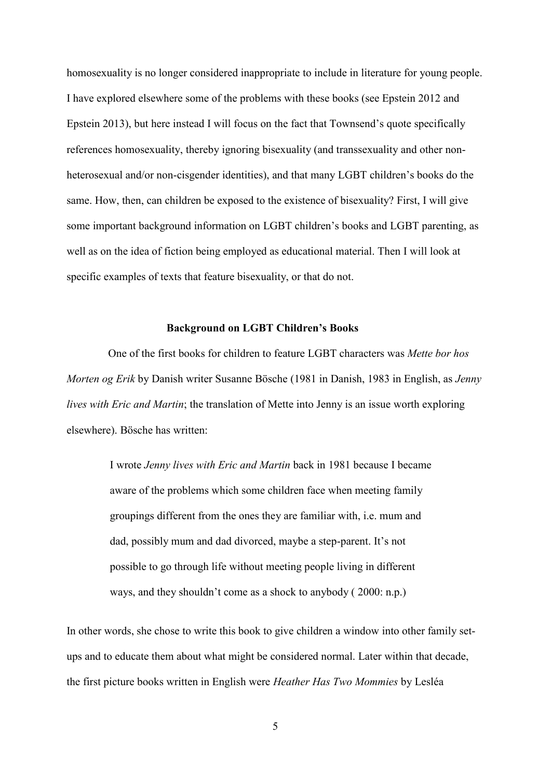homosexuality is no longer considered inappropriate to include in literature for young people. I have explored elsewhere some of the problems with these books (see Epstein 2012 and Epstein 2013), but here instead I will focus on the fact that Townsend's quote specifically references homosexuality, thereby ignoring bisexuality (and transsexuality and other nonheterosexual and/or non-cisgender identities), and that many LGBT children's books do the same. How, then, can children be exposed to the existence of bisexuality? First, I will give some important background information on LGBT children's books and LGBT parenting, as well as on the idea of fiction being employed as educational material. Then I will look at specific examples of texts that feature bisexuality, or that do not.

# **Background on LGBT Children's Books**

 One of the first books for children to feature LGBT characters was *Mette bor hos Morten og Erik* by Danish writer Susanne Bösche (1981 in Danish, 1983 in English, as *Jenny lives with Eric and Martin*; the translation of Mette into Jenny is an issue worth exploring elsewhere). Bösche has written:

> I wrote *Jenny lives with Eric and Martin* back in 1981 because I became aware of the problems which some children face when meeting family groupings different from the ones they are familiar with, i.e. mum and dad, possibly mum and dad divorced, maybe a step-parent. It's not possible to go through life without meeting people living in different ways, and they shouldn't come as a shock to anybody ( 2000: n.p.)

In other words, she chose to write this book to give children a window into other family setups and to educate them about what might be considered normal. Later within that decade, the first picture books written in English were *Heather Has Two Mommies* by Lesléa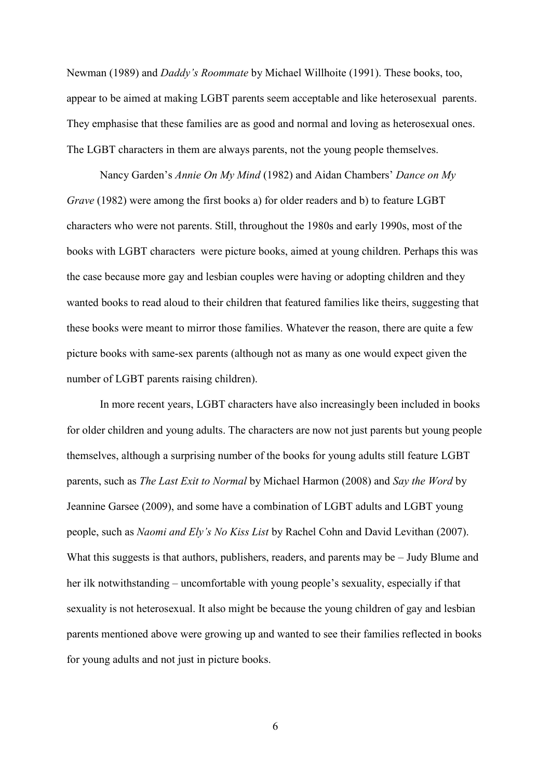Newman (1989) and *Daddy's Roommate* by Michael Willhoite (1991). These books, too, appear to be aimed at making LGBT parents seem acceptable and like heterosexual parents. They emphasise that these families are as good and normal and loving as heterosexual ones. The LGBT characters in them are always parents, not the young people themselves.

Nancy Garden's *Annie On My Mind* (1982) and Aidan Chambers' *Dance on My Grave* (1982) were among the first books a) for older readers and b) to feature LGBT characters who were not parents. Still, throughout the 1980s and early 1990s, most of the books with LGBT characters were picture books, aimed at young children. Perhaps this was the case because more gay and lesbian couples were having or adopting children and they wanted books to read aloud to their children that featured families like theirs, suggesting that these books were meant to mirror those families. Whatever the reason, there are quite a few picture books with same-sex parents (although not as many as one would expect given the number of LGBT parents raising children).

In more recent years, LGBT characters have also increasingly been included in books for older children and young adults. The characters are now not just parents but young people themselves, although a surprising number of the books for young adults still feature LGBT parents, such as *The Last Exit to Normal* by Michael Harmon (2008) and *Say the Word* by Jeannine Garsee (2009), and some have a combination of LGBT adults and LGBT young people, such as *Naomi and Ely's No Kiss List* by Rachel Cohn and David Levithan (2007). What this suggests is that authors, publishers, readers, and parents may be – Judy Blume and her ilk notwithstanding – uncomfortable with young people's sexuality, especially if that sexuality is not heterosexual. It also might be because the young children of gay and lesbian parents mentioned above were growing up and wanted to see their families reflected in books for young adults and not just in picture books.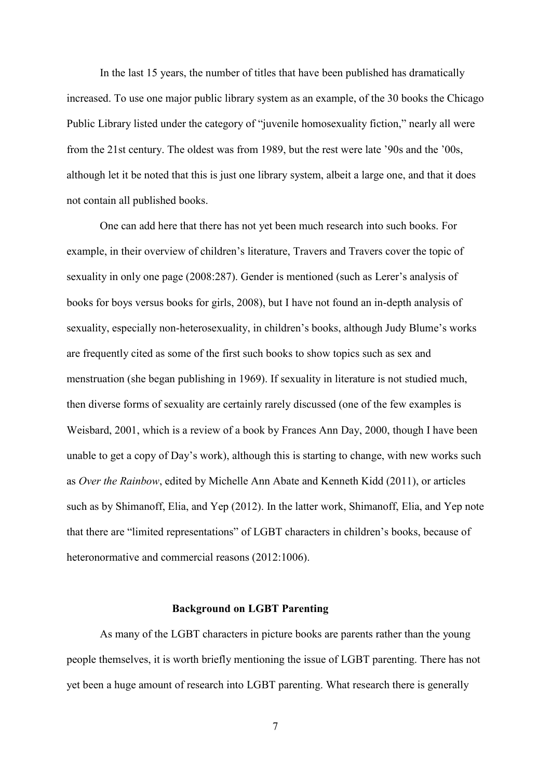In the last 15 years, the number of titles that have been published has dramatically increased. To use one major public library system as an example, of the 30 books the Chicago Public Library listed under the category of "juvenile homosexuality fiction," nearly all were from the 21st century. The oldest was from 1989, but the rest were late '90s and the '00s, although let it be noted that this is just one library system, albeit a large one, and that it does not contain all published books.

One can add here that there has not yet been much research into such books. For example, in their overview of children's literature, Travers and Travers cover the topic of sexuality in only one page (2008:287). Gender is mentioned (such as Lerer's analysis of books for boys versus books for girls, 2008), but I have not found an in-depth analysis of sexuality, especially non-heterosexuality, in children's books, although Judy Blume's works are frequently cited as some of the first such books to show topics such as sex and menstruation (she began publishing in 1969). If sexuality in literature is not studied much, then diverse forms of sexuality are certainly rarely discussed (one of the few examples is Weisbard, 2001, which is a review of a book by Frances Ann Day, 2000, though I have been unable to get a copy of Day's work), although this is starting to change, with new works such as *Over the Rainbow*, edited by Michelle Ann Abate and Kenneth Kidd (2011), or articles such as by Shimanoff, Elia, and Yep (2012). In the latter work, Shimanoff, Elia, and Yep note that there are "limited representations" of LGBT characters in children's books, because of heteronormative and commercial reasons (2012:1006).

## **Background on LGBT Parenting**

 As many of the LGBT characters in picture books are parents rather than the young people themselves, it is worth briefly mentioning the issue of LGBT parenting. There has not yet been a huge amount of research into LGBT parenting. What research there is generally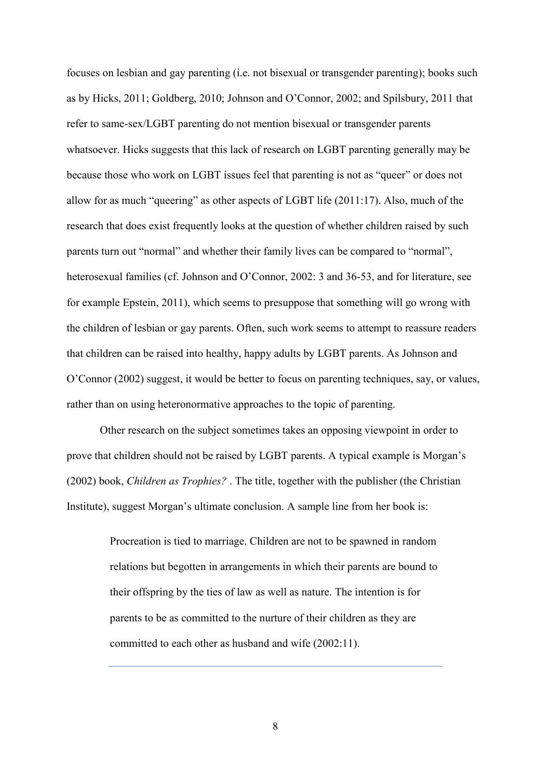focuses on lesbian and gay parenting (i.e. not bisexual or transgender parenting); books such as by Hicks, 2011; Goldberg, 2010; Johnson and O'Connor, 2002; and Spilsbury, 2011 that refer to same-sex/LGBT parenting do not mention bisexual or transgender parents whatsoever. Hicks suggests that this lack of research on LGBT parenting generally may be because those who work on LGBT issues feel that parenting is not as "queer" or does not allow for as much "queering" as other aspects of LGBT life (2011:17). Also, much of the research that does exist frequently looks at the question of whether children raised by such parents turn out "normal" and whether their family lives can be compared to "normal", heterosexual families (cf. Johnson and O'Connor, 2002: 3 and 36-53, and for literature, see for example Epstein, 2011), which seems to presuppose that something will go wrong with the children of lesbian or gay parents. Often, such work seems to attempt to reassure readers that children can be raised into healthy, happy adults by LGBT parents. As Johnson and O'Connor (2002) suggest, it would be better to focus on parenting techniques, say, or values, rather than on using heteronormative approaches to the topic of parenting.

Other research on the subject sometimes takes an opposing viewpoint in order to prove that children should not be raised by LGBT parents. A typical example is Morgan's (2002) book, *Children as Trophies?* . The title, together with the publisher (the Christian Institute), suggest Morgan's ultimate conclusion. A sample line from her book is:

> Procreation is tied to marriage. Children are not to be spawned in random relations but begotten in arrangements in which their parents are bound to their offspring by the ties of law as well as nature. The intention is for parents to be as committed to the nurture of their children as they are committed to each other as husband and wife (2002:11).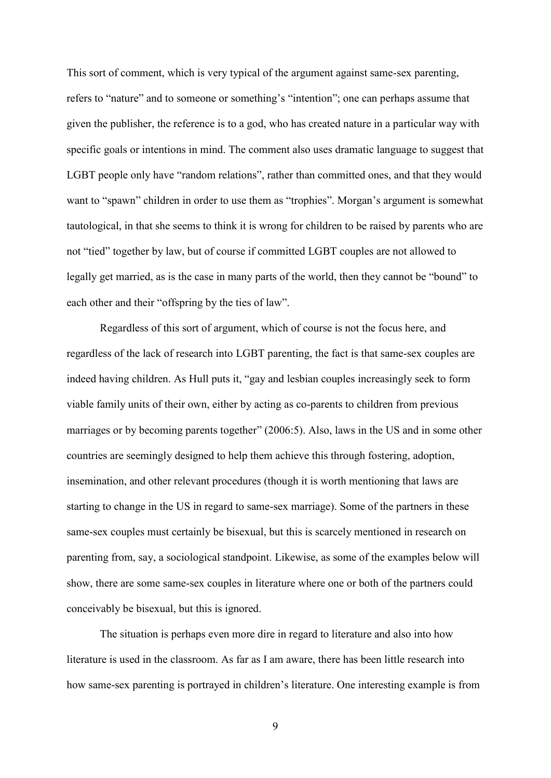This sort of comment, which is very typical of the argument against same-sex parenting, refers to "nature" and to someone or something's "intention"; one can perhaps assume that given the publisher, the reference is to a god, who has created nature in a particular way with specific goals or intentions in mind. The comment also uses dramatic language to suggest that LGBT people only have "random relations", rather than committed ones, and that they would want to "spawn" children in order to use them as "trophies". Morgan's argument is somewhat tautological, in that she seems to think it is wrong for children to be raised by parents who are not "tied" together by law, but of course if committed LGBT couples are not allowed to legally get married, as is the case in many parts of the world, then they cannot be "bound" to each other and their "offspring by the ties of law".

Regardless of this sort of argument, which of course is not the focus here, and regardless of the lack of research into LGBT parenting, the fact is that same-sex couples are indeed having children. As Hull puts it, "gay and lesbian couples increasingly seek to form viable family units of their own, either by acting as co-parents to children from previous marriages or by becoming parents together" (2006:5). Also, laws in the US and in some other countries are seemingly designed to help them achieve this through fostering, adoption, insemination, and other relevant procedures (though it is worth mentioning that laws are starting to change in the US in regard to same-sex marriage). Some of the partners in these same-sex couples must certainly be bisexual, but this is scarcely mentioned in research on parenting from, say, a sociological standpoint. Likewise, as some of the examples below will show, there are some same-sex couples in literature where one or both of the partners could conceivably be bisexual, but this is ignored.

The situation is perhaps even more dire in regard to literature and also into how literature is used in the classroom. As far as I am aware, there has been little research into how same-sex parenting is portrayed in children's literature. One interesting example is from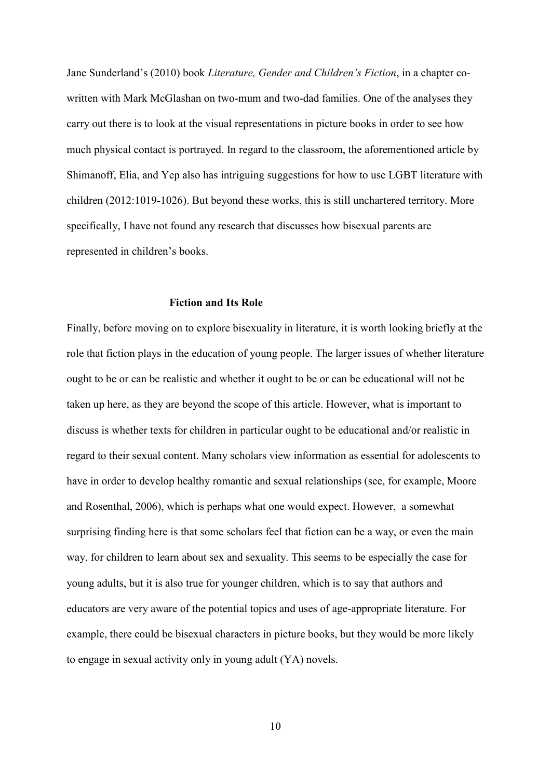Jane Sunderland's (2010) book *Literature, Gender and Children's Fiction*, in a chapter cowritten with Mark McGlashan on two-mum and two-dad families. One of the analyses they carry out there is to look at the visual representations in picture books in order to see how much physical contact is portrayed. In regard to the classroom, the aforementioned article by Shimanoff, Elia, and Yep also has intriguing suggestions for how to use LGBT literature with children (2012:1019-1026). But beyond these works, this is still unchartered territory. More specifically, I have not found any research that discusses how bisexual parents are represented in children's books.

# **Fiction and Its Role**

Finally, before moving on to explore bisexuality in literature, it is worth looking briefly at the role that fiction plays in the education of young people. The larger issues of whether literature ought to be or can be realistic and whether it ought to be or can be educational will not be taken up here, as they are beyond the scope of this article. However, what is important to discuss is whether texts for children in particular ought to be educational and/or realistic in regard to their sexual content. Many scholars view information as essential for adolescents to have in order to develop healthy romantic and sexual relationships (see, for example, Moore and Rosenthal, 2006), which is perhaps what one would expect. However, a somewhat surprising finding here is that some scholars feel that fiction can be a way, or even the main way, for children to learn about sex and sexuality. This seems to be especially the case for young adults, but it is also true for younger children, which is to say that authors and educators are very aware of the potential topics and uses of age-appropriate literature. For example, there could be bisexual characters in picture books, but they would be more likely to engage in sexual activity only in young adult (YA) novels.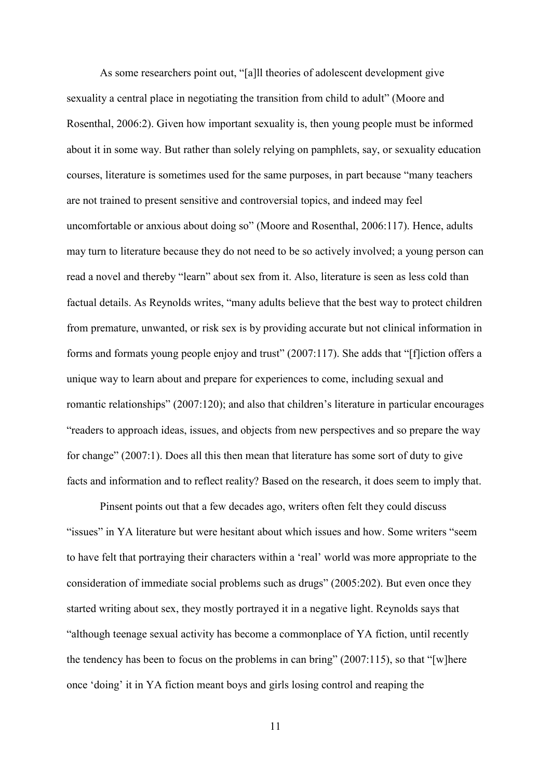As some researchers point out, "[a]ll theories of adolescent development give sexuality a central place in negotiating the transition from child to adult" (Moore and Rosenthal, 2006:2). Given how important sexuality is, then young people must be informed about it in some way. But rather than solely relying on pamphlets, say, or sexuality education courses, literature is sometimes used for the same purposes, in part because "many teachers are not trained to present sensitive and controversial topics, and indeed may feel uncomfortable or anxious about doing so" (Moore and Rosenthal, 2006:117). Hence, adults may turn to literature because they do not need to be so actively involved; a young person can read a novel and thereby "learn" about sex from it. Also, literature is seen as less cold than factual details. As Reynolds writes, "many adults believe that the best way to protect children from premature, unwanted, or risk sex is by providing accurate but not clinical information in forms and formats young people enjoy and trust" (2007:117). She adds that "[f]iction offers a unique way to learn about and prepare for experiences to come, including sexual and romantic relationships" (2007:120); and also that children's literature in particular encourages "readers to approach ideas, issues, and objects from new perspectives and so prepare the way for change" (2007:1). Does all this then mean that literature has some sort of duty to give facts and information and to reflect reality? Based on the research, it does seem to imply that.

Pinsent points out that a few decades ago, writers often felt they could discuss "issues" in YA literature but were hesitant about which issues and how. Some writers "seem to have felt that portraying their characters within a 'real' world was more appropriate to the consideration of immediate social problems such as drugs" (2005:202). But even once they started writing about sex, they mostly portrayed it in a negative light. Reynolds says that "although teenage sexual activity has become a commonplace of YA fiction, until recently the tendency has been to focus on the problems in can bring"  $(2007:115)$ , so that "[w]here once 'doing' it in YA fiction meant boys and girls losing control and reaping the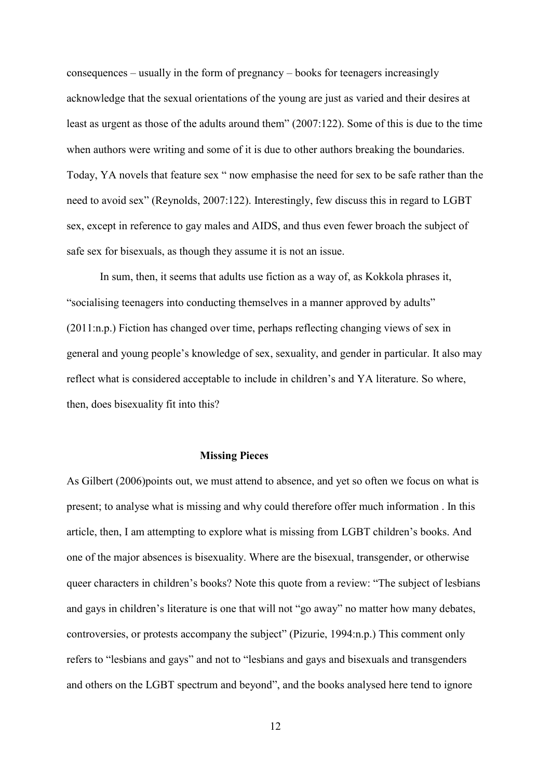consequences – usually in the form of pregnancy – books for teenagers increasingly acknowledge that the sexual orientations of the young are just as varied and their desires at least as urgent as those of the adults around them" (2007:122). Some of this is due to the time when authors were writing and some of it is due to other authors breaking the boundaries. Today, YA novels that feature sex " now emphasise the need for sex to be safe rather than the need to avoid sex" (Reynolds, 2007:122). Interestingly, few discuss this in regard to LGBT sex, except in reference to gay males and AIDS, and thus even fewer broach the subject of safe sex for bisexuals, as though they assume it is not an issue.

In sum, then, it seems that adults use fiction as a way of, as Kokkola phrases it, "socialising teenagers into conducting themselves in a manner approved by adults" (2011:n.p.) Fiction has changed over time, perhaps reflecting changing views of sex in general and young people's knowledge of sex, sexuality, and gender in particular. It also may reflect what is considered acceptable to include in children's and YA literature. So where, then, does bisexuality fit into this?

#### **Missing Pieces**

As Gilbert (2006)points out, we must attend to absence, and yet so often we focus on what is present; to analyse what is missing and why could therefore offer much information . In this article, then, I am attempting to explore what is missing from LGBT children's books. And one of the major absences is bisexuality. Where are the bisexual, transgender, or otherwise queer characters in children's books? Note this quote from a review: "The subject of lesbians and gays in children's literature is one that will not "go away" no matter how many debates, controversies, or protests accompany the subject" (Pizurie, 1994:n.p.) This comment only refers to "lesbians and gays" and not to "lesbians and gays and bisexuals and transgenders and others on the LGBT spectrum and beyond", and the books analysed here tend to ignore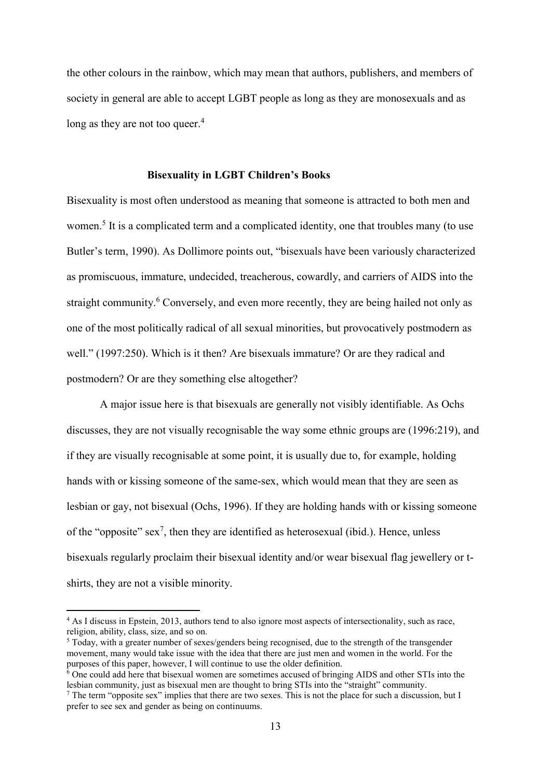the other colours in the rainbow, which may mean that authors, publishers, and members of society in general are able to accept LGBT people as long as they are monosexuals and as long as they are not too queer.<sup>4</sup>

### **Bisexuality in LGBT Children's Books**

Bisexuality is most often understood as meaning that someone is attracted to both men and women.<sup>5</sup> It is a complicated term and a complicated identity, one that troubles many (to use Butler's term, 1990). As Dollimore points out, "bisexuals have been variously characterized as promiscuous, immature, undecided, treacherous, cowardly, and carriers of AIDS into the straight community.<sup>6</sup> Conversely, and even more recently, they are being hailed not only as one of the most politically radical of all sexual minorities, but provocatively postmodern as well." (1997:250). Which is it then? Are bisexuals immature? Or are they radical and postmodern? Or are they something else altogether?

A major issue here is that bisexuals are generally not visibly identifiable. As Ochs discusses, they are not visually recognisable the way some ethnic groups are (1996:219), and if they are visually recognisable at some point, it is usually due to, for example, holding hands with or kissing someone of the same-sex, which would mean that they are seen as lesbian or gay, not bisexual (Ochs, 1996). If they are holding hands with or kissing someone of the "opposite" sex<sup>7</sup>, then they are identified as heterosexual (ibid.). Hence, unless bisexuals regularly proclaim their bisexual identity and/or wear bisexual flag jewellery or tshirts, they are not a visible minority.

<u>.</u>

<sup>4</sup> As I discuss in Epstein, 2013, authors tend to also ignore most aspects of intersectionality, such as race, religion, ability, class, size, and so on.

<sup>5</sup> Today, with a greater number of sexes/genders being recognised, due to the strength of the transgender movement, many would take issue with the idea that there are just men and women in the world. For the purposes of this paper, however, I will continue to use the older definition.

 $\delta$  One could add here that bisexual women are sometimes accused of bringing AIDS and other STIs into the lesbian community, just as bisexual men are thought to bring STIs into the "straight" community.

<sup>7</sup> The term "opposite sex" implies that there are two sexes. This is not the place for such a discussion, but I prefer to see sex and gender as being on continuums.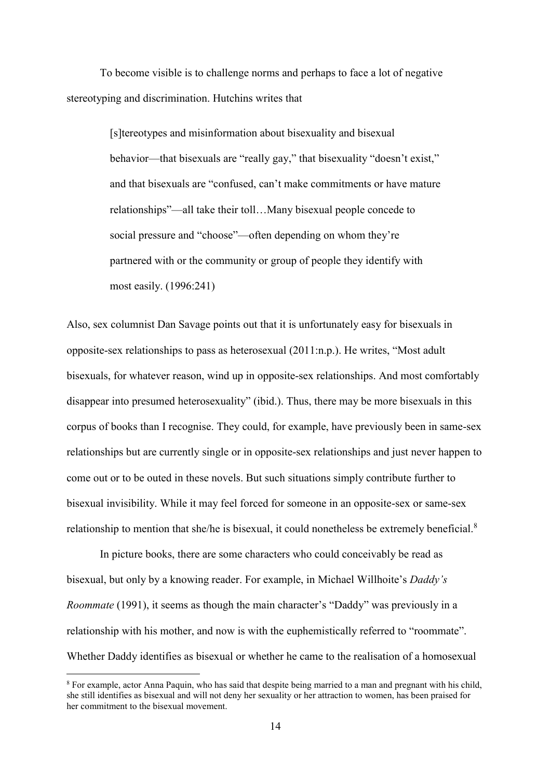To become visible is to challenge norms and perhaps to face a lot of negative stereotyping and discrimination. Hutchins writes that

> [s]tereotypes and misinformation about bisexuality and bisexual behavior—that bisexuals are "really gay," that bisexuality "doesn't exist," and that bisexuals are "confused, can't make commitments or have mature relationships"—all take their toll…Many bisexual people concede to social pressure and "choose"—often depending on whom they're partnered with or the community or group of people they identify with most easily. (1996:241)

Also, sex columnist Dan Savage points out that it is unfortunately easy for bisexuals in opposite-sex relationships to pass as heterosexual (2011:n.p.). He writes, "Most adult bisexuals, for whatever reason, wind up in opposite-sex relationships. And most comfortably disappear into presumed heterosexuality" (ibid.). Thus, there may be more bisexuals in this corpus of books than I recognise. They could, for example, have previously been in same-sex relationships but are currently single or in opposite-sex relationships and just never happen to come out or to be outed in these novels. But such situations simply contribute further to bisexual invisibility. While it may feel forced for someone in an opposite-sex or same-sex relationship to mention that she/he is bisexual, it could nonetheless be extremely beneficial.<sup>8</sup>

In picture books, there are some characters who could conceivably be read as bisexual, but only by a knowing reader. For example, in Michael Willhoite's *Daddy's Roommate* (1991), it seems as though the main character's "Daddy" was previously in a relationship with his mother, and now is with the euphemistically referred to "roommate". Whether Daddy identifies as bisexual or whether he came to the realisation of a homosexual

<u>.</u>

<sup>8</sup> For example, actor Anna Paquin, who has said that despite being married to a man and pregnant with his child, she still identifies as bisexual and will not deny her sexuality or her attraction to women, has been praised for her commitment to the bisexual movement.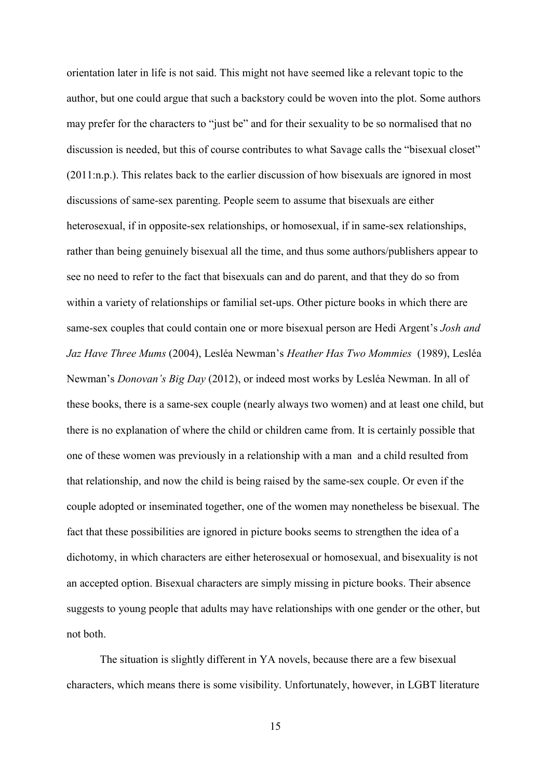orientation later in life is not said. This might not have seemed like a relevant topic to the author, but one could argue that such a backstory could be woven into the plot. Some authors may prefer for the characters to "just be" and for their sexuality to be so normalised that no discussion is needed, but this of course contributes to what Savage calls the "bisexual closet" (2011:n.p.). This relates back to the earlier discussion of how bisexuals are ignored in most discussions of same-sex parenting. People seem to assume that bisexuals are either heterosexual, if in opposite-sex relationships, or homosexual, if in same-sex relationships, rather than being genuinely bisexual all the time, and thus some authors/publishers appear to see no need to refer to the fact that bisexuals can and do parent, and that they do so from within a variety of relationships or familial set-ups. Other picture books in which there are same-sex couples that could contain one or more bisexual person are Hedi Argent's *Josh and Jaz Have Three Mums* (2004), Lesléa Newman's *Heather Has Two Mommies* (1989), Lesléa Newman's *Donovan's Big Day* (2012), or indeed most works by Lesléa Newman. In all of these books, there is a same-sex couple (nearly always two women) and at least one child, but there is no explanation of where the child or children came from. It is certainly possible that one of these women was previously in a relationship with a man and a child resulted from that relationship, and now the child is being raised by the same-sex couple. Or even if the couple adopted or inseminated together, one of the women may nonetheless be bisexual. The fact that these possibilities are ignored in picture books seems to strengthen the idea of a dichotomy, in which characters are either heterosexual or homosexual, and bisexuality is not an accepted option. Bisexual characters are simply missing in picture books. Their absence suggests to young people that adults may have relationships with one gender or the other, but not both.

The situation is slightly different in YA novels, because there are a few bisexual characters, which means there is some visibility. Unfortunately, however, in LGBT literature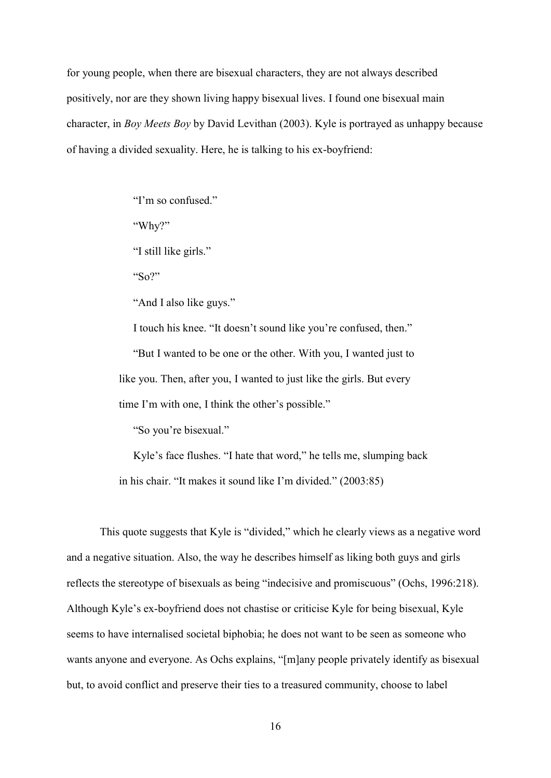for young people, when there are bisexual characters, they are not always described positively, nor are they shown living happy bisexual lives. I found one bisexual main character, in *Boy Meets Boy* by David Levithan (2003). Kyle is portrayed as unhappy because of having a divided sexuality. Here, he is talking to his ex-boyfriend:

"I'm so confused."

"Why?"

"I still like girls."

" $\mathrm{So}$ ?"

"And I also like guys."

I touch his knee. "It doesn't sound like you're confused, then." "But I wanted to be one or the other. With you, I wanted just to like you. Then, after you, I wanted to just like the girls. But every time I'm with one, I think the other's possible."

"So you're bisexual."

Kyle's face flushes. "I hate that word," he tells me, slumping back in his chair. "It makes it sound like I'm divided." (2003:85)

This quote suggests that Kyle is "divided," which he clearly views as a negative word and a negative situation. Also, the way he describes himself as liking both guys and girls reflects the stereotype of bisexuals as being "indecisive and promiscuous" (Ochs, 1996:218). Although Kyle's ex-boyfriend does not chastise or criticise Kyle for being bisexual, Kyle seems to have internalised societal biphobia; he does not want to be seen as someone who wants anyone and everyone. As Ochs explains, "[m]any people privately identify as bisexual but, to avoid conflict and preserve their ties to a treasured community, choose to label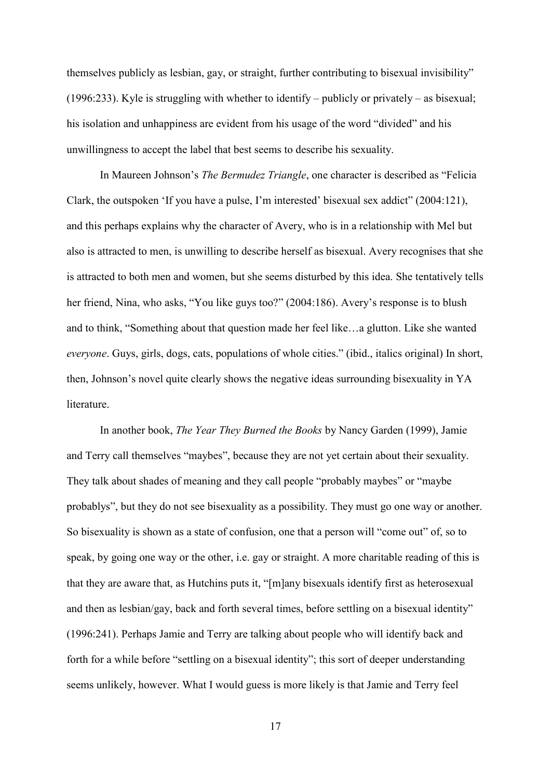themselves publicly as lesbian, gay, or straight, further contributing to bisexual invisibility" (1996:233). Kyle is struggling with whether to identify – publicly or privately – as bisexual; his isolation and unhappiness are evident from his usage of the word "divided" and his unwillingness to accept the label that best seems to describe his sexuality.

In Maureen Johnson's *The Bermudez Triangle*, one character is described as "Felicia Clark, the outspoken 'If you have a pulse, I'm interested' bisexual sex addict" (2004:121), and this perhaps explains why the character of Avery, who is in a relationship with Mel but also is attracted to men, is unwilling to describe herself as bisexual. Avery recognises that she is attracted to both men and women, but she seems disturbed by this idea. She tentatively tells her friend, Nina, who asks, "You like guys too?" (2004:186). Avery's response is to blush and to think, "Something about that question made her feel like…a glutton. Like she wanted *everyone*. Guys, girls, dogs, cats, populations of whole cities." (ibid., italics original) In short, then, Johnson's novel quite clearly shows the negative ideas surrounding bisexuality in YA literature.

In another book, *The Year They Burned the Books* by Nancy Garden (1999), Jamie and Terry call themselves "maybes", because they are not yet certain about their sexuality. They talk about shades of meaning and they call people "probably maybes" or "maybe probablys", but they do not see bisexuality as a possibility. They must go one way or another. So bisexuality is shown as a state of confusion, one that a person will "come out" of, so to speak, by going one way or the other, i.e. gay or straight. A more charitable reading of this is that they are aware that, as Hutchins puts it, "[m]any bisexuals identify first as heterosexual and then as lesbian/gay, back and forth several times, before settling on a bisexual identity" (1996:241). Perhaps Jamie and Terry are talking about people who will identify back and forth for a while before "settling on a bisexual identity"; this sort of deeper understanding seems unlikely, however. What I would guess is more likely is that Jamie and Terry feel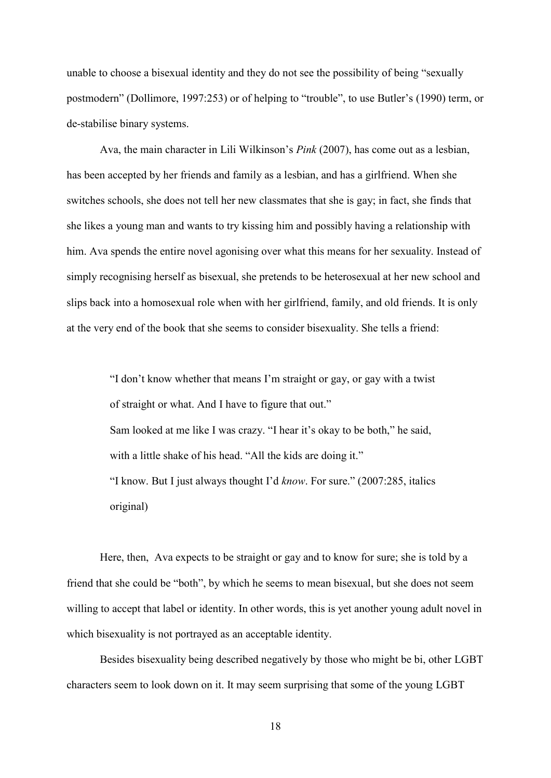unable to choose a bisexual identity and they do not see the possibility of being "sexually postmodern" (Dollimore, 1997:253) or of helping to "trouble", to use Butler's (1990) term, or de-stabilise binary systems.

Ava, the main character in Lili Wilkinson's *Pink* (2007), has come out as a lesbian, has been accepted by her friends and family as a lesbian, and has a girlfriend. When she switches schools, she does not tell her new classmates that she is gay; in fact, she finds that she likes a young man and wants to try kissing him and possibly having a relationship with him. Ava spends the entire novel agonising over what this means for her sexuality. Instead of simply recognising herself as bisexual, she pretends to be heterosexual at her new school and slips back into a homosexual role when with her girlfriend, family, and old friends. It is only at the very end of the book that she seems to consider bisexuality. She tells a friend:

> "I don't know whether that means I'm straight or gay, or gay with a twist of straight or what. And I have to figure that out." Sam looked at me like I was crazy. "I hear it's okay to be both," he said, with a little shake of his head. "All the kids are doing it." "I know. But I just always thought I'd *know*. For sure." (2007:285, italics original)

Here, then, Ava expects to be straight or gay and to know for sure; she is told by a friend that she could be "both", by which he seems to mean bisexual, but she does not seem willing to accept that label or identity. In other words, this is yet another young adult novel in which bisexuality is not portrayed as an acceptable identity.

Besides bisexuality being described negatively by those who might be bi, other LGBT characters seem to look down on it. It may seem surprising that some of the young LGBT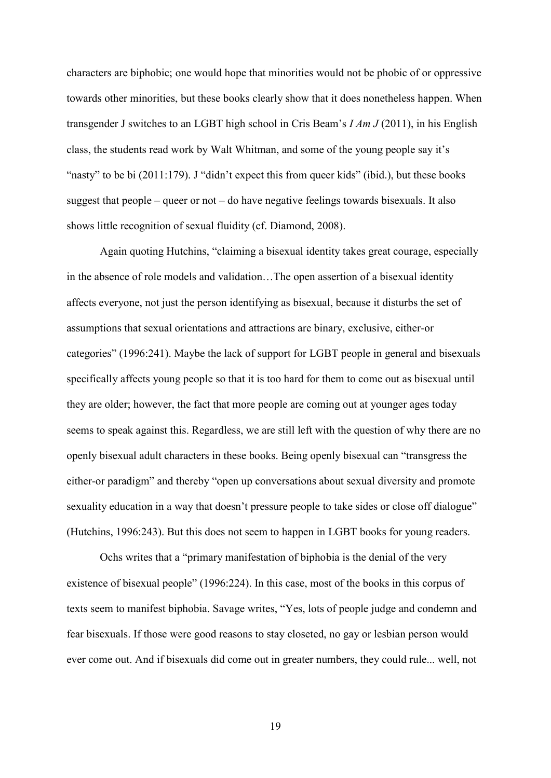characters are biphobic; one would hope that minorities would not be phobic of or oppressive towards other minorities, but these books clearly show that it does nonetheless happen. When transgender J switches to an LGBT high school in Cris Beam's *I Am J* (2011), in his English class, the students read work by Walt Whitman, and some of the young people say it's "nasty" to be bi (2011:179). J "didn't expect this from queer kids" (ibid.), but these books suggest that people – queer or not – do have negative feelings towards bisexuals. It also shows little recognition of sexual fluidity (cf. Diamond, 2008).

Again quoting Hutchins, "claiming a bisexual identity takes great courage, especially in the absence of role models and validation…The open assertion of a bisexual identity affects everyone, not just the person identifying as bisexual, because it disturbs the set of assumptions that sexual orientations and attractions are binary, exclusive, either-or categories" (1996:241). Maybe the lack of support for LGBT people in general and bisexuals specifically affects young people so that it is too hard for them to come out as bisexual until they are older; however, the fact that more people are coming out at younger ages today seems to speak against this. Regardless, we are still left with the question of why there are no openly bisexual adult characters in these books. Being openly bisexual can "transgress the either-or paradigm" and thereby "open up conversations about sexual diversity and promote sexuality education in a way that doesn't pressure people to take sides or close off dialogue" (Hutchins, 1996:243). But this does not seem to happen in LGBT books for young readers.

Ochs writes that a "primary manifestation of biphobia is the denial of the very existence of bisexual people" (1996:224). In this case, most of the books in this corpus of texts seem to manifest biphobia. Savage writes, "Yes, lots of people judge and condemn and fear bisexuals. If those were good reasons to stay closeted, no gay or lesbian person would ever come out. And if bisexuals did come out in greater numbers, they could rule... well, not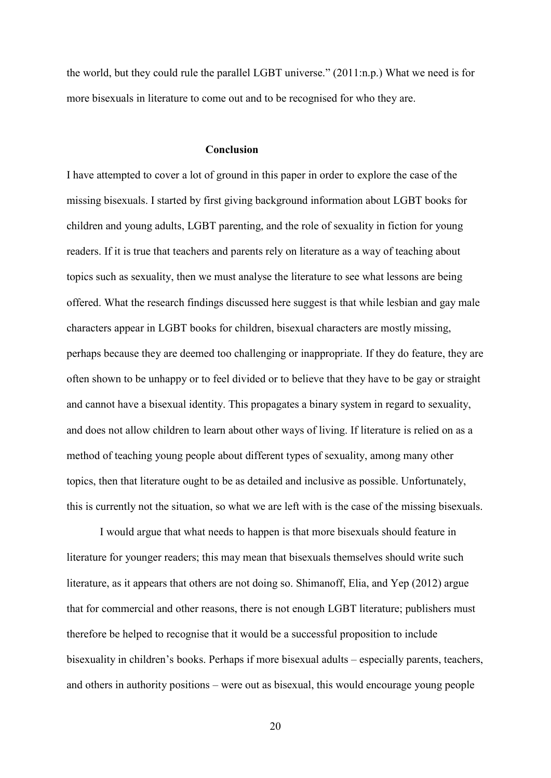the world, but they could rule the parallel LGBT universe." (2011:n.p.) What we need is for more bisexuals in literature to come out and to be recognised for who they are.

# **Conclusion**

I have attempted to cover a lot of ground in this paper in order to explore the case of the missing bisexuals. I started by first giving background information about LGBT books for children and young adults, LGBT parenting, and the role of sexuality in fiction for young readers. If it is true that teachers and parents rely on literature as a way of teaching about topics such as sexuality, then we must analyse the literature to see what lessons are being offered. What the research findings discussed here suggest is that while lesbian and gay male characters appear in LGBT books for children, bisexual characters are mostly missing, perhaps because they are deemed too challenging or inappropriate. If they do feature, they are often shown to be unhappy or to feel divided or to believe that they have to be gay or straight and cannot have a bisexual identity. This propagates a binary system in regard to sexuality, and does not allow children to learn about other ways of living. If literature is relied on as a method of teaching young people about different types of sexuality, among many other topics, then that literature ought to be as detailed and inclusive as possible. Unfortunately, this is currently not the situation, so what we are left with is the case of the missing bisexuals.

I would argue that what needs to happen is that more bisexuals should feature in literature for younger readers; this may mean that bisexuals themselves should write such literature, as it appears that others are not doing so. Shimanoff, Elia, and Yep (2012) argue that for commercial and other reasons, there is not enough LGBT literature; publishers must therefore be helped to recognise that it would be a successful proposition to include bisexuality in children's books. Perhaps if more bisexual adults – especially parents, teachers, and others in authority positions – were out as bisexual, this would encourage young people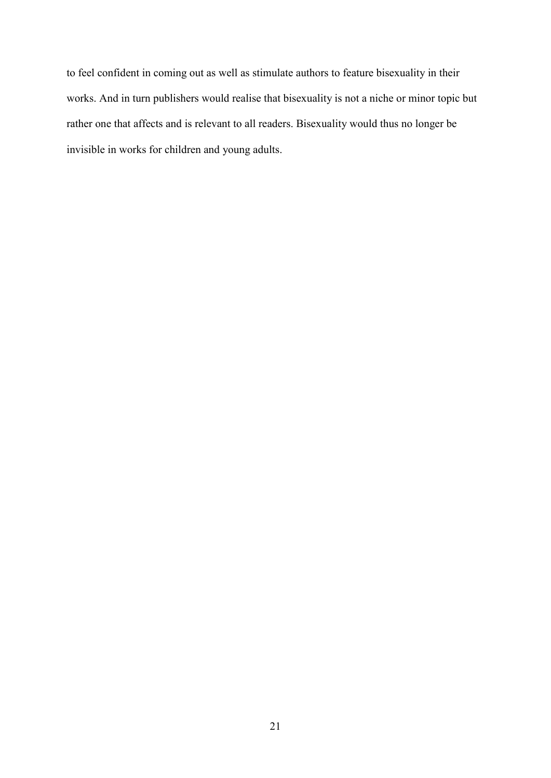to feel confident in coming out as well as stimulate authors to feature bisexuality in their works. And in turn publishers would realise that bisexuality is not a niche or minor topic but rather one that affects and is relevant to all readers. Bisexuality would thus no longer be invisible in works for children and young adults.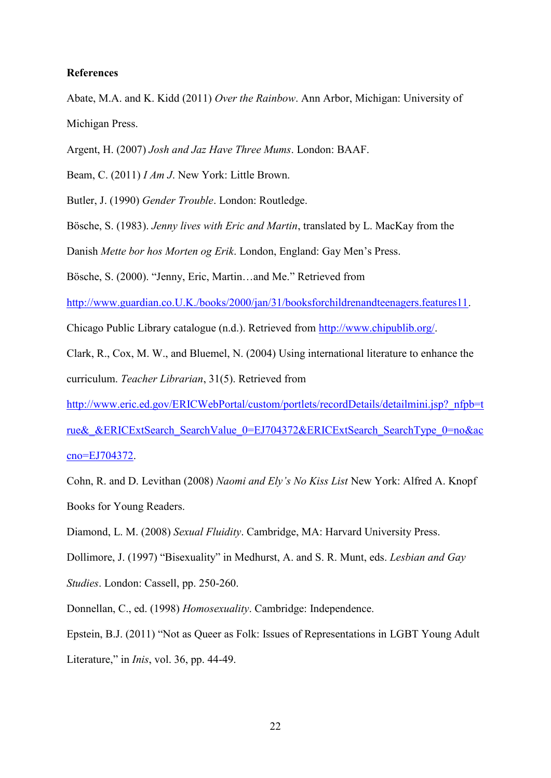# **References**

Abate, M.A. and K. Kidd (2011) *Over the Rainbow*. Ann Arbor, Michigan: University of Michigan Press.

Argent, H. (2007) *Josh and Jaz Have Three Mums*. London: BAAF.

Beam, C. (2011) *I Am J*. New York: Little Brown.

Butler, J. (1990) *Gender Trouble*. London: Routledge.

Bösche, S. (1983). *Jenny lives with Eric and Martin*, translated by L. MacKay from the

Danish *Mette bor hos Morten og Erik*. London, England: Gay Men's Press.

Bösche, S. (2000). "Jenny, Eric, Martin…and Me." Retrieved from

[http://www.guardian.co.U.K./books/2000/jan/31/booksforchildrenandteenagers.features11.](http://www.guardian.co.uk/books/2000/jan/31/booksforchildrenandteenagers.features11)

Chicago Public Library catalogue (n.d.). Retrieved from [http://www.chipublib.org/.](http://www.chipublib.org/)

Clark, R., Cox, M. W., and Bluemel, N. (2004) Using international literature to enhance the curriculum. *Teacher Librarian*, 31(5). Retrieved from

[http://www.eric.ed.gov/ERICWebPortal/custom/portlets/recordDetails/detailmini.jsp?\\_nfpb=t](http://www.eric.ed.gov/ERICWebPortal/custom/portlets/recordDetails/detailmini.jsp?_nfpb=true&_&ERICExtSearch_SearchValue_0=EJ704372&ERICExtSearch_SearchType_0=no&accno=EJ704372)

rue& &ERICExtSearch\_SearchValue\_0=EJ704372&ERICExtSearch\_SearchType\_0=no&ac [cno=EJ704372.](http://www.eric.ed.gov/ERICWebPortal/custom/portlets/recordDetails/detailmini.jsp?_nfpb=true&_&ERICExtSearch_SearchValue_0=EJ704372&ERICExtSearch_SearchType_0=no&accno=EJ704372)

Cohn, R. and D. Levithan (2008) *Naomi and Ely's No Kiss List* New York: Alfred A. Knopf Books for Young Readers.

Diamond, L. M. (2008) *Sexual Fluidity*. Cambridge, MA: Harvard University Press.

Dollimore, J. (1997) "Bisexuality" in Medhurst, A. and S. R. Munt, eds. *Lesbian and Gay* 

*Studies*. London: Cassell, pp. 250-260.

Donnellan, C., ed. (1998) *Homosexuality*. Cambridge: Independence.

Epstein, B.J. (2011) "Not as Queer as Folk: Issues of Representations in LGBT Young Adult Literature," in *Inis*, vol. 36, pp. 44-49.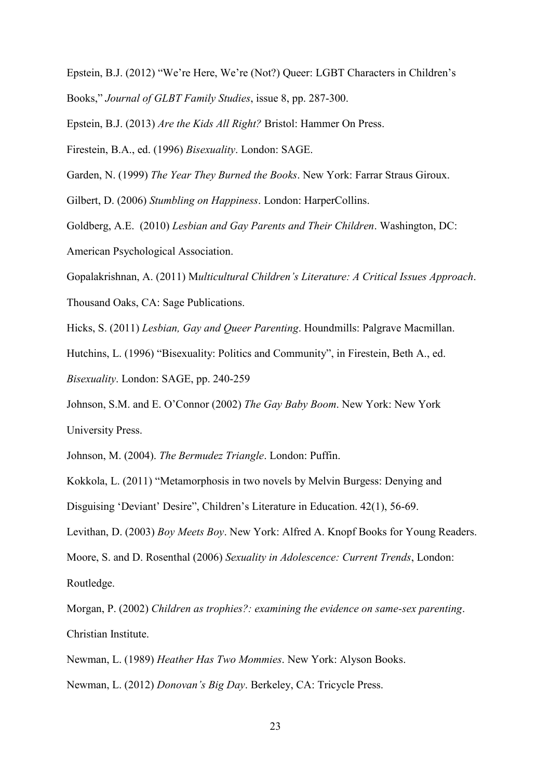Epstein, B.J. (2012) "We're Here, We're (Not?) Queer: LGBT Characters in Children's Books," *Journal of GLBT Family Studies*, issue 8, pp. 287-300.

Epstein, B.J. (2013) *Are the Kids All Right?* Bristol: Hammer On Press.

Firestein, B.A., ed. (1996) *Bisexuality*. London: SAGE.

Garden, N. (1999) *The Year They Burned the Books*. New York: Farrar Straus Giroux.

Gilbert, D. (2006) *Stumbling on Happiness*. London: HarperCollins.

Goldberg, A.E. (2010) *Lesbian and Gay Parents and Their Children*. Washington, DC:

American Psychological Association.

Gopalakrishnan, A. (2011) M*ulticultural Children's Literature: A Critical Issues Approach*.

Thousand Oaks, CA: Sage Publications.

Hicks, S. (2011) *Lesbian, Gay and Queer Parenting*. Houndmills: Palgrave Macmillan.

Hutchins, L. (1996) "Bisexuality: Politics and Community", in Firestein, Beth A., ed.

*Bisexuality*. London: SAGE, pp. 240-259

Johnson, S.M. and E. O'Connor (2002) *The Gay Baby Boom*. New York: New York University Press.

Johnson, M. (2004). *The Bermudez Triangle*. London: Puffin.

Kokkola, L. (2011) "Metamorphosis in two novels by Melvin Burgess: Denying and

Disguising 'Deviant' Desire", Children's Literature in Education. 42(1), 56-69.

Levithan, D. (2003) *Boy Meets Boy*. New York: Alfred A. Knopf Books for Young Readers.

Moore, S. and D. Rosenthal (2006) *Sexuality in Adolescence: Current Trends*, London: Routledge.

Morgan, P. (2002) *Children as trophies?: examining the evidence on same-sex parenting*. Christian Institute.

Newman, L. (1989) *Heather Has Two Mommies*. New York: Alyson Books.

Newman, L. (2012) *Donovan's Big Day*. Berkeley, CA: Tricycle Press.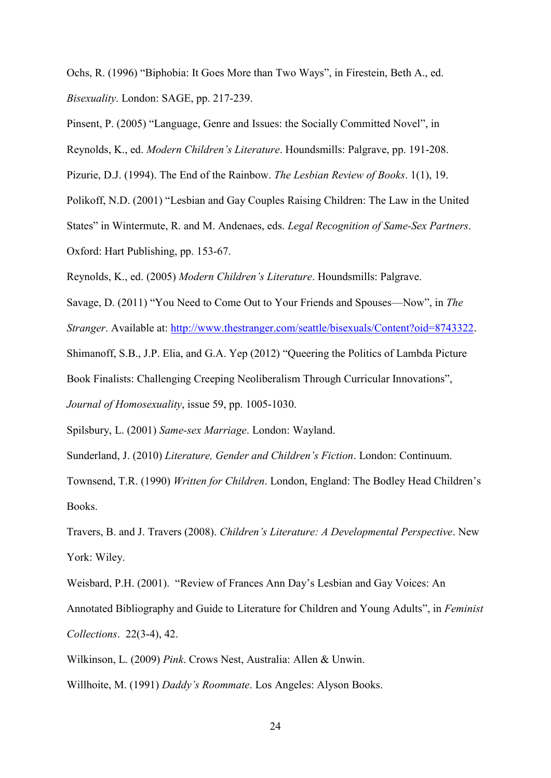Ochs, R. (1996) "Biphobia: It Goes More than Two Ways", in Firestein, Beth A., ed. *Bisexuality*. London: SAGE, pp. 217-239.

Pinsent, P. (2005) "Language, Genre and Issues: the Socially Committed Novel", in Reynolds, K., ed. *Modern Children's Literature*. Houndsmills: Palgrave, pp. 191-208. Pizurie, D.J. (1994). The End of the Rainbow. *The Lesbian Review of Books*. 1(1), 19. Polikoff, N.D. (2001) "Lesbian and Gay Couples Raising Children: The Law in the United States" in Wintermute, R. and M. Andenaes, eds. *Legal Recognition of Same-Sex Partners*. Oxford: Hart Publishing, pp. 153-67.

Reynolds, K., ed. (2005) *Modern Children's Literature*. Houndsmills: Palgrave.

Savage, D. (2011) "You Need to Come Out to Your Friends and Spouses—Now", in *The* 

*Stranger*. Available at: [http://www.thestranger.com/seattle/bisexuals/Content?oid=8743322.](http://www.thestranger.com/seattle/bisexuals/Content?oid=8743322)

Shimanoff, S.B., J.P. Elia, and G.A. Yep (2012) "Queering the Politics of Lambda Picture

Book Finalists: Challenging Creeping Neoliberalism Through Curricular Innovations",

*Journal of Homosexuality*, issue 59, pp. 1005-1030.

Spilsbury, L. (2001) *Same-sex Marriage*. London: Wayland.

Sunderland, J. (2010) *Literature, Gender and Children's Fiction*. London: Continuum.

Townsend, T.R. (1990) *Written for Children*. London, England: The Bodley Head Children's Books.

Travers, B. and J. Travers (2008). *Children's Literature: A Developmental Perspective*. New York: Wiley.

Weisbard, P.H. (2001). "Review of Frances Ann Day's Lesbian and Gay Voices: An Annotated Bibliography and Guide to Literature for Children and Young Adults", in *Feminist Collections*. 22(3-4), 42.

Wilkinson, L. (2009) *Pink*. Crows Nest, Australia: Allen & Unwin.

Willhoite, M. (1991) *Daddy's Roommate*. Los Angeles: Alyson Books.